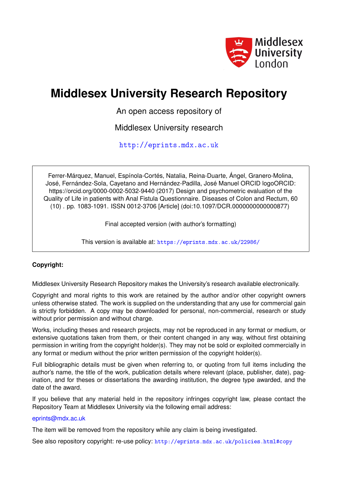

# **Middlesex University Research Repository**

An open access repository of

Middlesex University research

<http://eprints.mdx.ac.uk>

Ferrer-Márquez, Manuel, Espínola-Cortés, Natalia, Reina-Duarte, Ángel, Granero-Molina, José, Fernández-Sola, Cayetano and Hernández-Padilla, José Manuel ORCID logoORCID: https://orcid.org/0000-0002-5032-9440 (2017) Design and psychometric evaluation of the Quality of Life in patients with Anal Fistula Questionnaire. Diseases of Colon and Rectum, 60 (10) . pp. 1083-1091. ISSN 0012-3706 [Article] (doi:10.1097/DCR.0000000000000877)

Final accepted version (with author's formatting)

This version is available at: <https://eprints.mdx.ac.uk/22986/>

# **Copyright:**

Middlesex University Research Repository makes the University's research available electronically.

Copyright and moral rights to this work are retained by the author and/or other copyright owners unless otherwise stated. The work is supplied on the understanding that any use for commercial gain is strictly forbidden. A copy may be downloaded for personal, non-commercial, research or study without prior permission and without charge.

Works, including theses and research projects, may not be reproduced in any format or medium, or extensive quotations taken from them, or their content changed in any way, without first obtaining permission in writing from the copyright holder(s). They may not be sold or exploited commercially in any format or medium without the prior written permission of the copyright holder(s).

Full bibliographic details must be given when referring to, or quoting from full items including the author's name, the title of the work, publication details where relevant (place, publisher, date), pagination, and for theses or dissertations the awarding institution, the degree type awarded, and the date of the award.

If you believe that any material held in the repository infringes copyright law, please contact the Repository Team at Middlesex University via the following email address:

### [eprints@mdx.ac.uk](mailto:eprints@mdx.ac.uk)

The item will be removed from the repository while any claim is being investigated.

See also repository copyright: re-use policy: <http://eprints.mdx.ac.uk/policies.html#copy>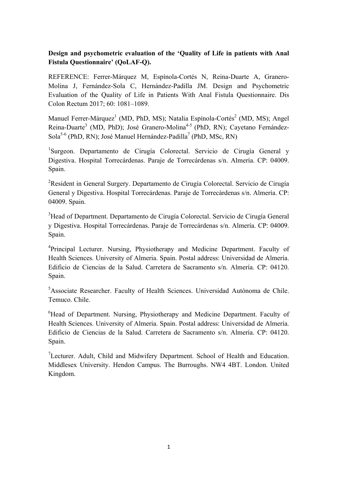# **Design and psychometric evaluation of the 'Quality of Life in patients with Anal Fistula Questionnaire' (QoLAF-Q).**

REFERENCE: Ferrer-Márquez M, Espínola-Cortés N, Reina-Duarte A, Granero-Molina J, Fernández-Sola C, Hernández-Padilla JM. Design and Psychometric Evaluation of the Quality of Life in Patients With Anal Fistula Questionnaire. Dis Colon Rectum 2017; 60: 1081–1089.

Manuel Ferrer-Márquez<sup>1</sup> (MD, PhD, MS); Natalia Espínola-Cortés<sup>2</sup> (MD, MS); Angel Reina-Duarte<sup>3</sup> (MD, PhD); José Granero-Molina<sup>4-5</sup> (PhD, RN); Cayetano Fernández-Sola<sup>5-6</sup> (PhD, RN); José Manuel Hernández-Padilla<sup>7</sup> (PhD, MSc, RN)

<sup>1</sup>Surgeon. Departamento de Cirugía Colorectal. Servicio de Cirugía General y Digestiva. Hospital Torrecárdenas. Paraje de Torrecárdenas s/n. Almería. CP: 04009. Spain.

<sup>2</sup>Resident in General Surgery. Departamento de Cirugía Colorectal. Servicio de Cirugía General y Digestiva. Hospital Torrecárdenas. Paraje de Torrecárdenas s/n. Almería. CP: 04009. Spain.

<sup>3</sup>Head of Department. Departamento de Cirugía Colorectal. Servicio de Cirugía General y Digestiva. Hospital Torrecárdenas. Paraje de Torrecárdenas s/n. Almería. CP: 04009. Spain.

<sup>4</sup>Principal Lecturer. Nursing, Physiotherapy and Medicine Department. Faculty of Health Sciences. University of Almeria. Spain. Postal address: Universidad de Almería. Edificio de Ciencias de la Salud. Carretera de Sacramento s/n. Almería. CP: 04120. Spain.

<sup>5</sup>Associate Researcher. Faculty of Health Sciences. Universidad Autónoma de Chile. Temuco. Chile.

<sup>6</sup>Head of Department. Nursing, Physiotherapy and Medicine Department. Faculty of Health Sciences. University of Almeria. Spain. Postal address: Universidad de Almería. Edificio de Ciencias de la Salud. Carretera de Sacramento s/n. Almería. CP: 04120. Spain.

<sup>7</sup>Lecturer. Adult, Child and Midwifery Department. School of Health and Education. Middlesex University. Hendon Campus. The Burroughs. NW4 4BT. London. United Kingdom.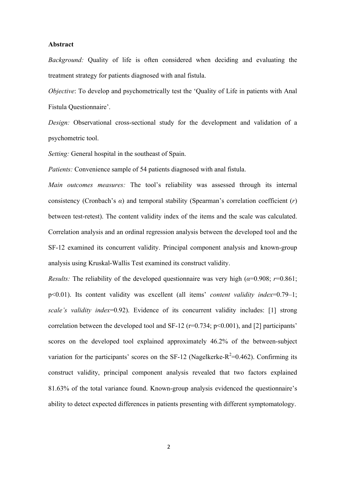#### **Abstract**

*Background:* Quality of life is often considered when deciding and evaluating the treatment strategy for patients diagnosed with anal fistula.

*Objective*: To develop and psychometrically test the 'Quality of Life in patients with Anal Fistula Questionnaire'.

*Design:* Observational cross-sectional study for the development and validation of a psychometric tool.

*Setting:* General hospital in the southeast of Spain.

*Patients:* Convenience sample of 54 patients diagnosed with anal fistula.

*Main outcomes measures:* The tool's reliability was assessed through its internal consistency (Cronbach's *α*) and temporal stability (Spearman's correlation coefficient (*r*) between test-retest). The content validity index of the items and the scale was calculated. Correlation analysis and an ordinal regression analysis between the developed tool and the SF-12 examined its concurrent validity. Principal component analysis and known-group analysis using Kruskal-Wallis Test examined its construct validity.

*Results:* The reliability of the developed questionnaire was very high  $(a=0.908; r=0.861;$ p<0.01). Its content validity was excellent (all items' *content validity index*=0.79–1; *scale's validity index*=0.92). Evidence of its concurrent validity includes: [1] strong correlation between the developed tool and SF-12 ( $r=0.734$ ;  $p<0.001$ ), and [2] participants' scores on the developed tool explained approximately 46.2% of the between-subject variation for the participants' scores on the SF-12 (Nagelkerke- $R^2$ =0.462). Confirming its construct validity, principal component analysis revealed that two factors explained 81.63% of the total variance found. Known-group analysis evidenced the questionnaire's ability to detect expected differences in patients presenting with different symptomatology.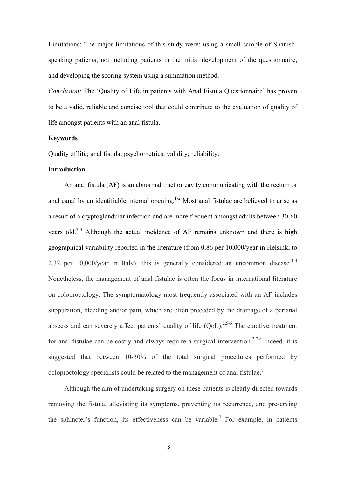Limitations: The major limitations of this study were: using a small sample of Spanishspeaking patients, not including patients in the initial development of the questionnaire, and developing the scoring system using a summation method.

*Conclusion:* The 'Quality of Life in patients with Anal Fistula Questionnaire' has proven to be a valid, reliable and concise tool that could contribute to the evaluation of quality of life amongst patients with an anal fistula.

#### **Keywords**

Quality of life; anal fistula; psychometrics; validity; reliability.

### **Introduction**

An anal fistula (AF) is an abnormal tract or cavity communicating with the rectum or anal canal by an identifiable internal opening.<sup>1-2</sup> Most anal fistulae are believed to arise as a result of a cryptoglandular infection and are more frequent amongst adults between 30-60 years old.<sup>2-3</sup> Although the actual incidence of AF remains unknown and there is high geographical variability reported in the literature (from 0.86 per 10,000/year in Helsinki to 2.32 per  $10,000$ /year in Italy), this is generally considered an uncommon disease.<sup>3-4</sup> Nonetheless, the management of anal fistulae is often the focus in international literature on coloproctology. The symptomatology most frequently associated with an AF includes suppuration, bleeding and/or pain, which are often preceded by the drainage of a perianal abscess and can severely affect patients' quality of life  $(OoL)$ <sup>2,5-6</sup> The curative treatment for anal fistulae can be costly and always require a surgical intervention.<sup>3,7-8</sup> Indeed, it is suggested that between 10-30% of the total surgical procedures performed by coloproctology specialists could be related to the management of anal fistulae.<sup>7</sup>

Although the aim of undertaking surgery on these patients is clearly directed towards removing the fistula, alleviating its symptoms, preventing its recurrence, and preserving the sphincter's function, its effectiveness can be variable.<sup>7</sup> For example, in patients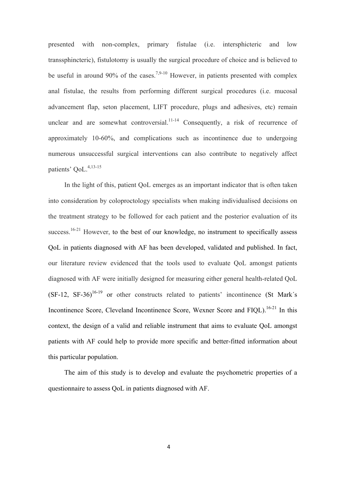presented with non-complex, primary fistulae (i.e. intersphicteric and low transsphincteric), fistulotomy is usually the surgical procedure of choice and is believed to be useful in around 90% of the cases.<sup>7,9-10</sup> However, in patients presented with complex anal fistulae, the results from performing different surgical procedures (i.e. mucosal advancement flap, seton placement, LIFT procedure, plugs and adhesives, etc) remain unclear and are somewhat controversial.<sup>11-14</sup> Consequently, a risk of recurrence of approximately 10-60%, and complications such as incontinence due to undergoing numerous unsuccessful surgical interventions can also contribute to negatively affect patients' OoL.<sup>4,13-15</sup>

In the light of this, patient QoL emerges as an important indicator that is often taken into consideration by coloproctology specialists when making individualised decisions on the treatment strategy to be followed for each patient and the posterior evaluation of its success.<sup>16-21</sup> However, to the best of our knowledge, no instrument to specifically assess QoL in patients diagnosed with AF has been developed, validated and published. In fact, our literature review evidenced that the tools used to evaluate QoL amongst patients diagnosed with AF were initially designed for measuring either general health-related QoL  $(SF-12, SF-36)^{16-19}$  or other constructs related to patients' incontinence  $(St Mark's)$ Incontinence Score, Cleveland Incontinence Score, Wexner Score and FIQL).<sup>16-21</sup> In this context, the design of a valid and reliable instrument that aims to evaluate QoL amongst patients with AF could help to provide more specific and better-fitted information about this particular population.

The aim of this study is to develop and evaluate the psychometric properties of a questionnaire to assess QoL in patients diagnosed with AF.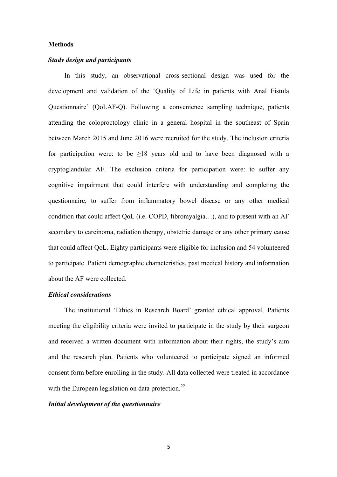#### **Methods**

## *Study design and participants*

In this study, an observational cross-sectional design was used for the development and validation of the 'Quality of Life in patients with Anal Fistula Questionnaire' (QoLAF-Q). Following a convenience sampling technique, patients attending the coloproctology clinic in a general hospital in the southeast of Spain between March 2015 and June 2016 were recruited for the study. The inclusion criteria for participation were: to be  $>18$  years old and to have been diagnosed with a cryptoglandular AF. The exclusion criteria for participation were: to suffer any cognitive impairment that could interfere with understanding and completing the questionnaire, to suffer from inflammatory bowel disease or any other medical condition that could affect QoL (i.e. COPD, fibromyalgia…), and to present with an AF secondary to carcinoma, radiation therapy, obstetric damage or any other primary cause that could affect QoL. Eighty participants were eligible for inclusion and 54 volunteered to participate. Patient demographic characteristics, past medical history and information about the AF were collected.

## *Ethical considerations*

The institutional 'Ethics in Research Board' granted ethical approval. Patients meeting the eligibility criteria were invited to participate in the study by their surgeon and received a written document with information about their rights, the study's aim and the research plan. Patients who volunteered to participate signed an informed consent form before enrolling in the study. All data collected were treated in accordance with the European legislation on data protection.<sup>22</sup>

#### *Initial development of the questionnaire*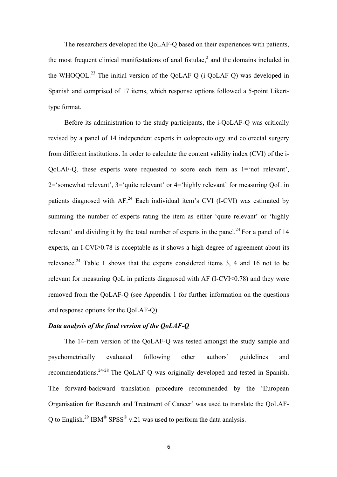The researchers developed the QoLAF-Q based on their experiences with patients, the most frequent clinical manifestations of anal fistulae,<sup>2</sup> and the domains included in the WHOQOL.<sup>23</sup> The initial version of the QoLAF-Q ( $i$ -QoLAF-Q) was developed in Spanish and comprised of 17 items, which response options followed a 5-point Likerttype format.

Before its administration to the study participants, the i-QoLAF-Q was critically revised by a panel of 14 independent experts in coloproctology and colorectal surgery from different institutions. In order to calculate the content validity index (CVI) of the i-QoLAF-Q, these experts were requested to score each item as 1='not relevant', 2='somewhat relevant', 3='quite relevant' or 4='highly relevant' for measuring QoL in patients diagnosed with  $AF<sup>24</sup>$  Each individual item's CVI (I-CVI) was estimated by summing the number of experts rating the item as either 'quite relevant' or 'highly relevant' and dividing it by the total number of experts in the panel.<sup>24</sup> For a panel of 14 experts, an I-CVI>0.78 is acceptable as it shows a high degree of agreement about its relevance.<sup>24</sup> Table 1 shows that the experts considered items 3, 4 and 16 not to be relevant for measuring QoL in patients diagnosed with AF (I-CVI<0.78) and they were removed from the QoLAF-Q (see Appendix 1 for further information on the questions and response options for the QoLAF-Q).

# *Data analysis of the final version of the QoLAF-Q*

The 14-item version of the QoLAF-Q was tested amongst the study sample and psychometrically evaluated following other authors' guidelines and recommendations.<sup>24-28</sup> The QoLAF-Q was originally developed and tested in Spanish. The forward-backward translation procedure recommended by the 'European Organisation for Research and Treatment of Cancer' was used to translate the QoLAF-Q to English.<sup>29</sup> IBM<sup>®</sup> SPSS<sup>®</sup> v.21 was used to perform the data analysis.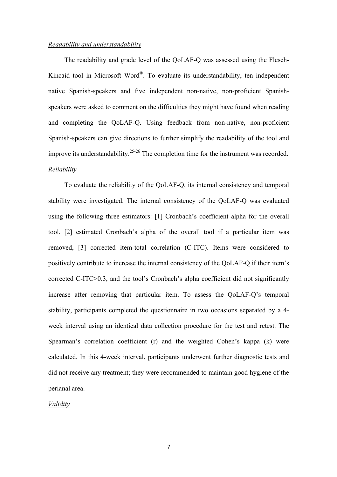#### *Readability and understandability*

The readability and grade level of the QoLAF-Q was assessed using the Flesch-Kincaid tool in Microsoft Word®. To evaluate its understandability, ten independent native Spanish-speakers and five independent non-native, non-proficient Spanishspeakers were asked to comment on the difficulties they might have found when reading and completing the QoLAF-Q. Using feedback from non-native, non-proficient Spanish-speakers can give directions to further simplify the readability of the tool and improve its understandability.25-26 The completion time for the instrument was recorded. *Reliability*

To evaluate the reliability of the QoLAF-Q, its internal consistency and temporal stability were investigated. The internal consistency of the QoLAF-Q was evaluated using the following three estimators: [1] Cronbach's coefficient alpha for the overall tool, [2] estimated Cronbach's alpha of the overall tool if a particular item was removed, [3] corrected item-total correlation (C-ITC). Items were considered to positively contribute to increase the internal consistency of the QoLAF-Q if their item's corrected C-ITC>0.3, and the tool's Cronbach's alpha coefficient did not significantly increase after removing that particular item. To assess the QoLAF-Q's temporal stability, participants completed the questionnaire in two occasions separated by a 4 week interval using an identical data collection procedure for the test and retest. The Spearman's correlation coefficient (r) and the weighted Cohen's kappa (k) were calculated. In this 4-week interval, participants underwent further diagnostic tests and did not receive any treatment; they were recommended to maintain good hygiene of the perianal area.

#### *Validity*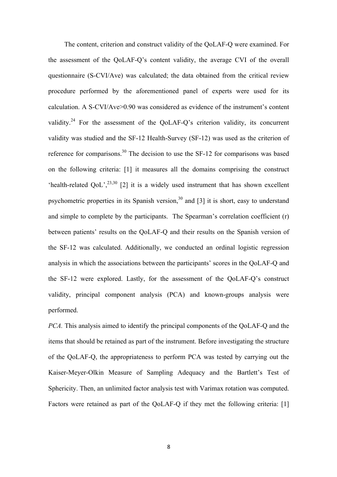The content, criterion and construct validity of the QoLAF-Q were examined. For the assessment of the QoLAF-Q's content validity, the average CVI of the overall questionnaire (S-CVI/Ave) was calculated; the data obtained from the critical review procedure performed by the aforementioned panel of experts were used for its calculation. A S-CVI/Ave>0.90 was considered as evidence of the instrument's content validity.<sup>24</sup> For the assessment of the QoLAF-Q's criterion validity, its concurrent validity was studied and the SF-12 Health-Survey (SF-12) was used as the criterion of reference for comparisons.<sup>30</sup> The decision to use the SF-12 for comparisons was based on the following criteria: [1] it measures all the domains comprising the construct 'health-related QoL',<sup>23,30</sup> [2] it is a widely used instrument that has shown excellent psychometric properties in its Spanish version,  $30$  and [3] it is short, easy to understand and simple to complete by the participants. The Spearman's correlation coefficient (r) between patients' results on the QoLAF-Q and their results on the Spanish version of the SF-12 was calculated. Additionally, we conducted an ordinal logistic regression analysis in which the associations between the participants' scores in the QoLAF-Q and the SF-12 were explored. Lastly, for the assessment of the QoLAF-Q's construct validity, principal component analysis (PCA) and known-groups analysis were performed.

*PCA.* This analysis aimed to identify the principal components of the QoLAF-Q and the items that should be retained as part of the instrument. Before investigating the structure of the QoLAF-Q, the appropriateness to perform PCA was tested by carrying out the Kaiser-Meyer-Olkin Measure of Sampling Adequacy and the Bartlett's Test of Sphericity. Then, an unlimited factor analysis test with Varimax rotation was computed. Factors were retained as part of the QoLAF-Q if they met the following criteria: [1]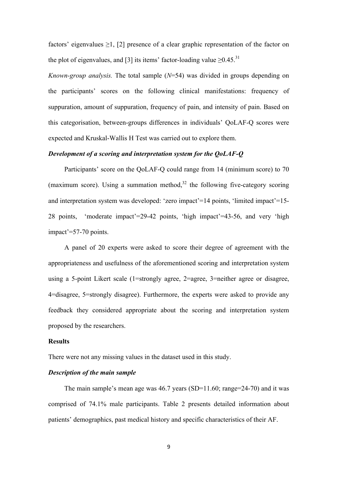factors' eigenvalues  $\geq 1$ , [2] presence of a clear graphic representation of the factor on the plot of eigenvalues, and [3] its items' factor-loading value  $\geq 0.45$ .<sup>31</sup>

*Known-group analysis.* The total sample (*N*=54) was divided in groups depending on the participants' scores on the following clinical manifestations: frequency of suppuration, amount of suppuration, frequency of pain, and intensity of pain. Based on this categorisation, between-groups differences in individuals' QoLAF-Q scores were expected and Kruskal-Wallis H Test was carried out to explore them.

# *Development of a scoring and interpretation system for the QoLAF-Q*

Participants' score on the QoLAF-Q could range from 14 (minimum score) to 70 (maximum score). Using a summation method, $32$  the following five-category scoring and interpretation system was developed: 'zero impact'=14 points, 'limited impact'=15- 28 points, 'moderate impact'=29-42 points, 'high impact'=43-56, and very 'high impact'=57-70 points.

A panel of 20 experts were asked to score their degree of agreement with the appropriateness and usefulness of the aforementioned scoring and interpretation system using a 5-point Likert scale (1=strongly agree, 2=agree, 3=neither agree or disagree, 4=disagree, 5=strongly disagree). Furthermore, the experts were asked to provide any feedback they considered appropriate about the scoring and interpretation system proposed by the researchers.

#### **Results**

There were not any missing values in the dataset used in this study.

### *Description of the main sample*

The main sample's mean age was 46.7 years (SD=11.60; range=24-70) and it was comprised of 74.1% male participants. Table 2 presents detailed information about patients' demographics, past medical history and specific characteristics of their AF.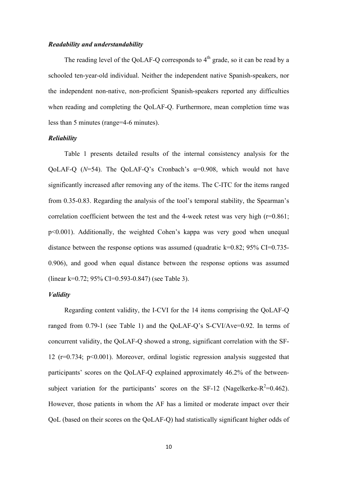#### *Readability and understandability*

The reading level of the OoLAF-O corresponds to  $4<sup>th</sup>$  grade, so it can be read by a schooled ten-year-old individual. Neither the independent native Spanish-speakers, nor the independent non-native, non-proficient Spanish-speakers reported any difficulties when reading and completing the QoLAF-Q. Furthermore, mean completion time was less than 5 minutes (range=4-6 minutes).

#### *Reliability*

Table 1 presents detailed results of the internal consistency analysis for the QoLAF-Q (*N*=54). The QoLAF-Q's Cronbach's α=0.908, which would not have significantly increased after removing any of the items. The C-ITC for the items ranged from 0.35-0.83. Regarding the analysis of the tool's temporal stability, the Spearman's correlation coefficient between the test and the 4-week retest was very high  $(r=0.861)$ ; p<0.001). Additionally, the weighted Cohen's kappa was very good when unequal distance between the response options was assumed (quadratic k= $0.82$ ; 95% CI= $0.735$ -0.906), and good when equal distance between the response options was assumed (linear k=0.72; 95% CI=0.593-0.847) (see Table 3).

# *Validity*

Regarding content validity, the I-CVI for the 14 items comprising the QoLAF-Q ranged from 0.79-1 (see Table 1) and the QoLAF-Q's S-CVI/Ave=0.92. In terms of concurrent validity, the QoLAF-Q showed a strong, significant correlation with the SF-12 (r=0.734; p<0.001). Moreover, ordinal logistic regression analysis suggested that participants' scores on the QoLAF-Q explained approximately 46.2% of the betweensubject variation for the participants' scores on the SF-12 (Nagelkerke- $R^2$ =0.462). However, those patients in whom the AF has a limited or moderate impact over their QoL (based on their scores on the QoLAF-Q) had statistically significant higher odds of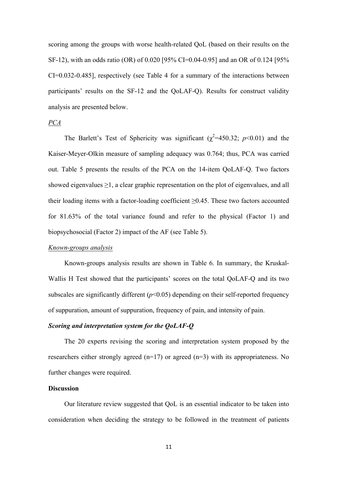scoring among the groups with worse health-related QoL (based on their results on the SF-12), with an odds ratio (OR) of 0.020 [95% CI=0.04-0.95] and an OR of 0.124 [95% CI=0.032-0.485], respectively (see Table 4 for a summary of the interactions between participants' results on the SF-12 and the QoLAF-Q). Results for construct validity analysis are presented below.

## *PCA*

The Barlett's Test of Sphericity was significant ( $\chi^2$ =450.32; *p*<0.01) and the Kaiser-Meyer-Olkin measure of sampling adequacy was 0.764; thus, PCA was carried out. Table 5 presents the results of the PCA on the 14-item QoLAF-Q. Two factors showed eigenvalues  $\geq 1$ , a clear graphic representation on the plot of eigenvalues, and all their loading items with a factor-loading coefficient  $\geq 0.45$ . These two factors accounted for 81.63% of the total variance found and refer to the physical (Factor 1) and biopsychosocial (Factor 2) impact of the AF (see Table 5).

### *Known-groups analysis*

Known-groups analysis results are shown in Table 6. In summary, the Kruskal-Wallis H Test showed that the participants' scores on the total QoLAF-Q and its two subscales are significantly different  $(p<0.05)$  depending on their self-reported frequency of suppuration, amount of suppuration, frequency of pain, and intensity of pain.

# *Scoring and interpretation system for the QoLAF-Q*

The 20 experts revising the scoring and interpretation system proposed by the researchers either strongly agreed  $(n=17)$  or agreed  $(n=3)$  with its appropriateness. No further changes were required.

#### **Discussion**

Our literature review suggested that QoL is an essential indicator to be taken into consideration when deciding the strategy to be followed in the treatment of patients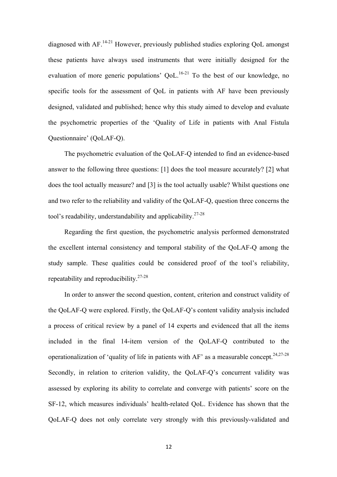diagnosed with AF.<sup>14-21</sup> However, previously published studies exploring QoL amongst these patients have always used instruments that were initially designed for the evaluation of more generic populations' QoL.<sup>16-21</sup> To the best of our knowledge, no specific tools for the assessment of QoL in patients with AF have been previously designed, validated and published; hence why this study aimed to develop and evaluate the psychometric properties of the 'Quality of Life in patients with Anal Fistula Questionnaire' (QoLAF-Q).

The psychometric evaluation of the QoLAF-Q intended to find an evidence-based answer to the following three questions: [1] does the tool measure accurately? [2] what does the tool actually measure? and [3] is the tool actually usable? Whilst questions one and two refer to the reliability and validity of the QoLAF-Q, question three concerns the tool's readability, understandability and applicability.<sup>27-28</sup>

Regarding the first question, the psychometric analysis performed demonstrated the excellent internal consistency and temporal stability of the QoLAF-Q among the study sample. These qualities could be considered proof of the tool's reliability, repeatability and reproducibility.27-28

In order to answer the second question, content, criterion and construct validity of the QoLAF-Q were explored. Firstly, the QoLAF-Q's content validity analysis included a process of critical review by a panel of 14 experts and evidenced that all the items included in the final 14-item version of the QoLAF-Q contributed to the operationalization of 'quality of life in patients with  $AF$ ' as a measurable concept.<sup>24,27-28</sup> Secondly, in relation to criterion validity, the QoLAF-Q's concurrent validity was assessed by exploring its ability to correlate and converge with patients' score on the SF-12, which measures individuals' health-related QoL. Evidence has shown that the QoLAF-Q does not only correlate very strongly with this previously-validated and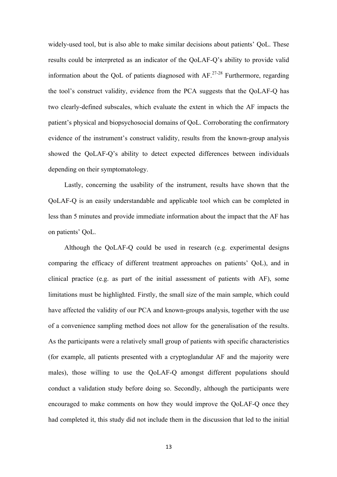widely-used tool, but is also able to make similar decisions about patients' QoL. These results could be interpreted as an indicator of the QoLAF-Q's ability to provide valid information about the OoL of patients diagnosed with  $AF<sup>27-28</sup>$  Furthermore, regarding the tool's construct validity, evidence from the PCA suggests that the QoLAF-Q has two clearly-defined subscales, which evaluate the extent in which the AF impacts the patient's physical and biopsychosocial domains of QoL. Corroborating the confirmatory evidence of the instrument's construct validity, results from the known-group analysis showed the QoLAF-Q's ability to detect expected differences between individuals depending on their symptomatology.

Lastly, concerning the usability of the instrument, results have shown that the QoLAF-Q is an easily understandable and applicable tool which can be completed in less than 5 minutes and provide immediate information about the impact that the AF has on patients' QoL.

Although the QoLAF-Q could be used in research (e.g. experimental designs comparing the efficacy of different treatment approaches on patients' QoL), and in clinical practice (e.g. as part of the initial assessment of patients with AF), some limitations must be highlighted. Firstly, the small size of the main sample, which could have affected the validity of our PCA and known-groups analysis, together with the use of a convenience sampling method does not allow for the generalisation of the results. As the participants were a relatively small group of patients with specific characteristics (for example, all patients presented with a cryptoglandular AF and the majority were males), those willing to use the QoLAF-Q amongst different populations should conduct a validation study before doing so. Secondly, although the participants were encouraged to make comments on how they would improve the QoLAF-Q once they had completed it, this study did not include them in the discussion that led to the initial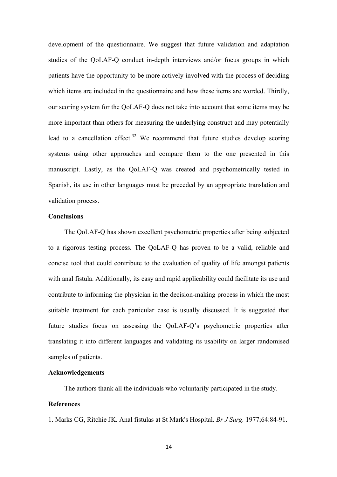development of the questionnaire. We suggest that future validation and adaptation studies of the QoLAF-Q conduct in-depth interviews and/or focus groups in which patients have the opportunity to be more actively involved with the process of deciding which items are included in the questionnaire and how these items are worded. Thirdly, our scoring system for the QoLAF-Q does not take into account that some items may be more important than others for measuring the underlying construct and may potentially lead to a cancellation effect.<sup>32</sup> We recommend that future studies develop scoring systems using other approaches and compare them to the one presented in this manuscript. Lastly, as the QoLAF-Q was created and psychometrically tested in Spanish, its use in other languages must be preceded by an appropriate translation and validation process.

# **Conclusions**

The QoLAF-Q has shown excellent psychometric properties after being subjected to a rigorous testing process. The QoLAF-Q has proven to be a valid, reliable and concise tool that could contribute to the evaluation of quality of life amongst patients with anal fistula. Additionally, its easy and rapid applicability could facilitate its use and contribute to informing the physician in the decision-making process in which the most suitable treatment for each particular case is usually discussed. It is suggested that future studies focus on assessing the QoLAF-Q's psychometric properties after translating it into different languages and validating its usability on larger randomised samples of patients.

# **Acknowledgements**

The authors thank all the individuals who voluntarily participated in the study.

### **References**

1. Marks CG, Ritchie JK. Anal fistulas at St Mark's Hospital. *Br J Surg.* 1977;64:84-91.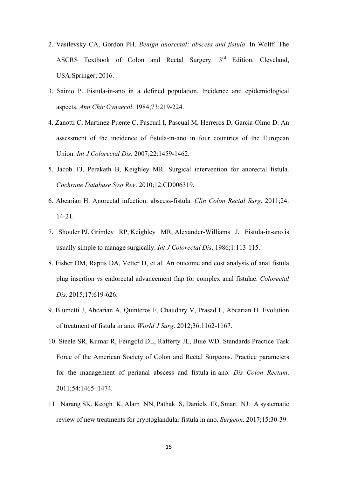- 2. Vasilevsky CA, Gordon PH. *Benign anorectal: abscess and fistula*. In Wolff: The ASCRS Textbook of Colon and Rectal Surgery. 3rd Edition. Cleveland, USA:Springer; 2016.
- 3. Sainio P. Fistula-in-ano in a defined population. Incidence and epidemiological aspects. *Ann Chir Gynaecol*. 1984;73:219-224.
- 4. Zanotti C, Martinez-Puente C, Pascual I, Pascual M, Herreros D, García-Olmo D. An assessment of the incidence of fistula-in-ano in four countries of the European Union. *Int J Colorectal Dis*. 2007;22:1459-1462.
- 5. Jacob TJ, Perakath B, Keighley MR. Surgical intervention for anorectal fistula. *Cochrane Database Syst Rev*. 2010;12:CD006319.
- 6. Abcarian H. Anorectal infection: abscess-fistula. *Clin Colon Rectal Surg*. 2011;24: 14-21.
- 7. Shouler PJ, Grimley RP, Keighley MR, Alexander-Williams J. Fistula-in-ano is usually simple to manage surgically. *Int J Colorectal Dis*. 1986;1:113-115.
- 8. Fisher OM, Raptis DA, Vetter D, et al. An outcome and cost analysis of anal fistula plug insertion vs endorectal advancement flap for complex anal fistulae. *Colorectal Dis*. 2015;17:619-626.
- 9. Blumetti J, Abcarian A, Quinteros F, Chaudhry V, Prasad L, Abcarian H. Evolution of treatment of fistula in ano. *World J Surg*. 2012;36:1162-1167.
- 10. Steele SR, Kumar R, Feingold DL, Rafferty JL, Buie WD. Standards Practice Task Force of the American Society of Colon and Rectal Surgeons. Practice parameters for the management of perianal abscess and fistula-in-ano. *Dis Colon Rectum*. 2011;54:1465–1474.
- 11. Narang SK, Keogh K, Alam NN, Pathak S, Daniels IR, Smart NJ. A systematic review of new treatments for cryptoglandular fistula in ano. *Surgeon*. 2017;15:30-39.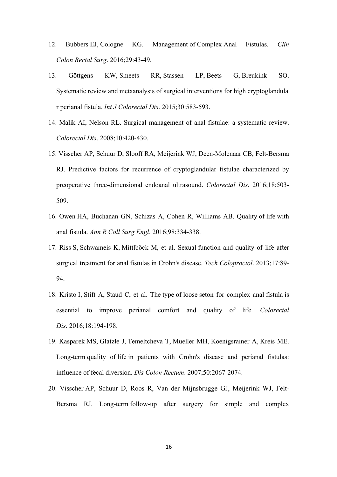- 12. Bubbers EJ, Cologne KG. Management of Complex Anal Fistulas. *Clin Colon Rectal Surg*. 2016;29:43-49.
- 13. Göttgens KW, Smeets RR, Stassen LP, Beets G, Breukink SO. Systematic review and metaanalysis of surgical interventions for high cryptoglandula r perianal fistula. *Int J Colorectal Dis*. 2015;30:583-593.
- 14. Malik AI, Nelson RL. Surgical management of anal fistulae: a systematic review. *Colorectal Dis*. 2008;10:420-430.
- 15. Visscher AP, Schuur D, Slooff RA, Meijerink WJ, Deen-Molenaar CB, Felt-Bersma RJ. Predictive factors for recurrence of cryptoglandular fistulae characterized by preoperative three-dimensional endoanal ultrasound. *Colorectal Dis*. 2016;18:503- 509.
- 16. Owen HA, Buchanan GN, Schizas A, Cohen R, Williams AB. Quality of life with anal fistula. *Ann R Coll Surg Engl*. 2016;98:334-338.
- 17. Riss S, Schwameis K, Mittlböck M, et al. Sexual function and quality of life after surgical treatment for anal fistulas in Crohn's disease. *Tech Coloproctol*. 2013;17:89- 94.
- 18. Kristo I, Stift A, Staud C, et al. The type of loose seton for complex anal fistula is essential to improve perianal comfort and quality of life. *Colorectal Dis*. 2016;18:194-198.
- 19. Kasparek MS, Glatzle J, Temeltcheva T, Mueller MH, Koenigsrainer A, Kreis ME. Long-term quality of life in patients with Crohn's disease and perianal fistulas: influence of fecal diversion. *Dis Colon Rectum*. 2007;50:2067-2074.
- 20. Visscher AP, Schuur D, Roos R, Van der Mijnsbrugge GJ, Meijerink WJ, Felt-Bersma RJ. Long-term follow-up after surgery for simple and complex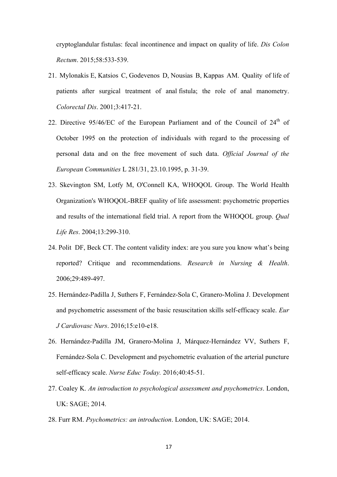cryptoglandular fistulas: fecal incontinence and impact on quality of life. *Dis Colon Rectum*. 2015;58:533-539.

- 21. Mylonakis E, Katsios C, Godevenos D, Nousias B, Kappas AM. Quality of life of patients after surgical treatment of anal fistula; the role of anal manometry. *Colorectal Dis*. 2001;3:417-21.
- 22. Directive 95/46/EC of the European Parliament and of the Council of  $24<sup>th</sup>$  of October 1995 on the protection of individuals with regard to the processing of personal data and on the free movement of such data. *Official Journal of the European Communities* L 281/31, 23.10.1995, p. 31-39.
- 23. Skevington SM, Lotfy M, O'Connell KA, WHOQOL Group. The World Health Organization's WHOQOL-BREF quality of life assessment: psychometric properties and results of the international field trial. A report from the WHOQOL group. *Qual Life Res*. 2004;13:299-310.
- 24. Polit DF, Beck CT. The content validity index: are you sure you know what's being reported? Critique and recommendations. *Research in Nursing & Health*. 2006;29:489-497.
- 25. Hernández-Padilla J, Suthers F, Fernández-Sola C, Granero-Molina J. Development and psychometric assessment of the basic resuscitation skills self-efficacy scale. *Eur J Cardiovasc Nurs*. 2016;15:e10-e18.
- 26. Hernández-Padilla JM, Granero-Molina J, Márquez-Hernández VV, Suthers F, Fernández-Sola C. Development and psychometric evaluation of the arterial puncture self-efficacy scale. *Nurse Educ Today.* 2016;40:45-51.
- 27. Coaley K. *An introduction to psychological assessment and psychometrics*. London, UK: SAGE; 2014.
- 28. Furr RM. *Psychometrics: an introduction*. London, UK: SAGE; 2014.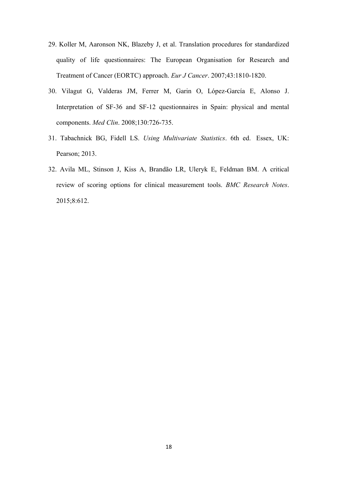- 29. Koller M, Aaronson NK, Blazeby J, et al. Translation procedures for standardized quality of life questionnaires: The European Organisation for Research and Treatment of Cancer (EORTC) approach. *Eur J Cancer*. 2007;43:1810-1820.
- 30. Vilagut G, Valderas JM, Ferrer M, Garin O, López-García E, Alonso J. Interpretation of SF-36 and SF-12 questionnaires in Spain: physical and mental components. *Med Clin*. 2008;130:726-735.
- 31. Tabachnick BG, Fidell LS. *Using Multivariate Statistics*. 6th ed. Essex, UK: Pearson; 2013.
- 32. Avila ML, Stinson J, Kiss A, Brandão LR, Uleryk E, Feldman BM. A critical review of scoring options for clinical measurement tools. *BMC Research Notes*. 2015;8:612.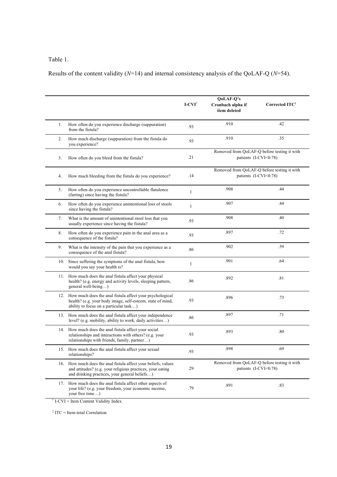# Table 1.

Results of the content validity (*N*=14) and internal consistency analysis of the QoLAF-Q (*N*=54).

|     |                                                                                                                                                                           | $\textbf{I-CVI}^{\dagger}$ | QoLAF-Q's<br>Cronbach alpha if<br>ítem deleted | Corrected ITC <sup>#</sup>                                           |
|-----|---------------------------------------------------------------------------------------------------------------------------------------------------------------------------|----------------------------|------------------------------------------------|----------------------------------------------------------------------|
| 1.  | How often do you experience discharge (suppuration)<br>from the fistula?                                                                                                  | .93                        | .910                                           | .42                                                                  |
| 2.  | How much discharge (suppuration) from the fistula do<br>you experience?                                                                                                   | .93                        | .910                                           | .35                                                                  |
| 3.  | How often do you bleed from the fistula?                                                                                                                                  | .21                        |                                                | Removed from QoLAF-Q before testing it with<br>patients (I-CVI<0.78) |
| 4.  | How much bleeding from the fistula do you experience?                                                                                                                     | .14                        |                                                | Removed from QoLAF-Q before testing it with<br>patients (I-CVI<0.78) |
| 5.  | How often do you experience uncontrollable flatulence<br>(farting) since having the fistula?                                                                              | $\mathbf{1}$               | .908                                           | .44                                                                  |
| 6.  | How often do you experience unintentional loss of stools<br>since having the fistula?                                                                                     | $\mathbf{1}$               | .907                                           |                                                                      |
| 7.  | What is the amount of unintentional stool loss that you<br>usually experience since having the fistula?                                                                   | .93                        | .908                                           | .40                                                                  |
| 8.  | How often do you experience pain in the anal area as a<br>consequence of the fistula?                                                                                     | .93                        | .897                                           | .72                                                                  |
| 9.  | What is the intensity of the pain that you experience as a<br>consequence of the anal fistula?                                                                            | .86                        | .902                                           | .59                                                                  |
| 10. | Since suffering the symptoms of the anal fistula, how<br>would you say your health is?                                                                                    | $\mathbf{1}$               | .901                                           | .64                                                                  |
|     | 11. How much does the anal fistula affect your physical<br>health? (e.g. energy and activity levels, sleeping pattern,<br>general well-being)                             | .86                        | .892                                           | .81                                                                  |
|     | 12. How much does the anal fistula affect your psychological<br>health? (e.g. your body image, self-esteem, state of mind,<br>ability to focus on a particular task)      | .93                        | .896                                           | .73                                                                  |
| 13. | How much does the anal fistula affect your independence<br>level? (e.g. mobility, ability to work, daily activities)                                                      | .86                        | .897                                           | .71                                                                  |
|     | 14. How much does the anal fistula affect your social<br>relationships and interactions with others? (e.g. your<br>relationships with friends, family, partner)           | .93                        | .893                                           | .80                                                                  |
|     | 15. How much does the anal fistula affect your sexual<br>relationships?                                                                                                   | .93                        | .898                                           | .69                                                                  |
| 16. | How much does the anal fistula affect your beliefs, values<br>and attitudes? (e.g. your religious practices, your eating<br>and drinking practices, your general beliefs) | .29                        |                                                | Removed from QoLAF-Q before testing it with<br>patients (I-CVI<0.78) |
| 17. | How much does the anal fistula affect other aspects of<br>your life? (e.g. your freedom, your economic income,<br>your free time)                                         | .79                        | .891                                           | .83                                                                  |

† I-CVI = Item Content Validity Index

‡ ITC = Item-total Correlation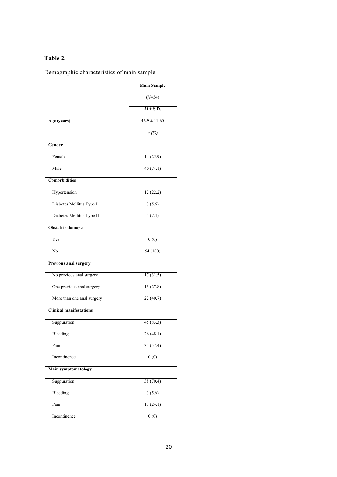# **Table 2.**

Demographic characteristics of main sample

|                                | <b>Main Sample</b> |
|--------------------------------|--------------------|
|                                | $(N=54)$           |
|                                | $M \pm S.D.$       |
| Age (years)                    | $46.9 \pm 11.60$   |
|                                | n(%)               |
| Gender                         |                    |
| Female                         | 14 (25.9)          |
| Male                           | 40(74.1)           |
| <b>Comorbidities</b>           |                    |
| Hypertension                   | 12(22.2)           |
| Diabetes Mellitus Type I       | 3(5.6)             |
| Diabetes Mellitus Type II      | 4(7.4)             |
| Obstetric damage               |                    |
| Yes                            | 0(0)               |
| No                             | 54 (100)           |
| Previous anal surgery          |                    |
| No previous anal surgery       | 17(31.5)           |
| One previous anal surgery      | 15(27.8)           |
| More than one anal surgery     | 22(40.7)           |
| <b>Clinical manifestations</b> |                    |
| Suppuration                    | 45 (83.3)          |
| Bleeding                       | 26(48.1)           |
| Pain                           | 31 (57.4)          |
| Incontinence                   | 0(0)               |
| <b>Main symptomatology</b>     |                    |
| Suppuration                    | 38(70.4)           |
| Bleeding                       | 3(5.6)             |
| Pain                           | 13(24.1)           |
| Incontinence                   | 0(0)               |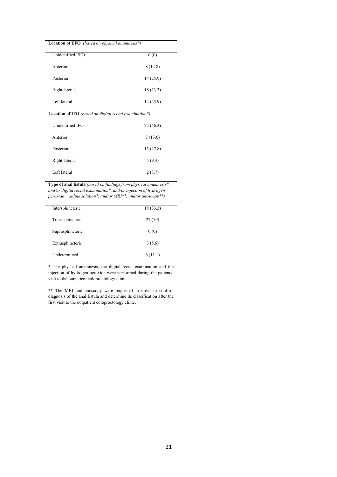#### **Location of EFO** *(based on physical anamnesis\*)*

 $\overline{a}$ 

| Unidentified EFO | 0(0)      |
|------------------|-----------|
| Anterior         | 8(14.8)   |
| Posterior        | 14 (25.9) |
| Right lateral    | 18 (33.3) |
| Left lateral     | 14 (25.9) |

**Location of IFO** *(based on digital rectal examination\*)*

| Unidentified IFO | 25(46.3) |
|------------------|----------|
| Anterior         | 7(13.0)  |
| Posterior        | 15(27.8) |
| Right lateral    | 5(9.3)   |
| Left lateral     | 2(3.7)   |

**Type of anal fistula** *(based on findings from physical anamnesis\*, and/or digital rectal examination\*, and/or injection of hydrogen peroxide + saline solution\*, and/or MRI\*\*, and/or anoscopy\*\*)*

| Intersphincteric    | 18(33.3) |
|---------------------|----------|
| Transsphincteric    | 27(50)   |
| Suprasphincteric    | 0(0)     |
| Extrasphincteric    | 3(5.6)   |
| <b>Undetermined</b> | 6(11.1)  |

\* The physical anamnesis, the digital rectal examination and the injection of hydrogen peroxide were performed during the patients' visit to the outpatient coloproctology clinic.

\*\* The MRI and anoscopy were requested in order to confirm diagnosis of the anal fistula and determine its classification after the first visit to the outpatient coloproctology clinic.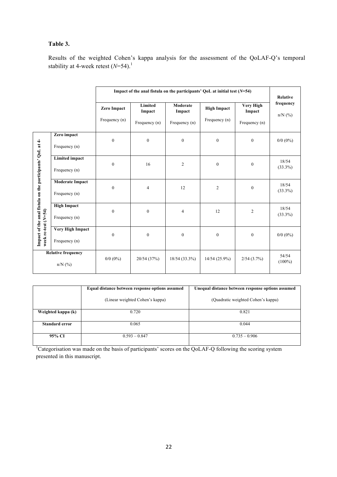# **Table 3.**

Results of the weighted Cohen's kappa analysis for the assessment of the QoLAF-Q's temporal stability at 4-week retest ( $N=54$ ).<sup>1</sup>

|                                                           |                           | Impact of the anal fistula on the participants' QoL at initial test $(N=54)$ |                   | <b>Relative</b>    |                    |                            |                           |
|-----------------------------------------------------------|---------------------------|------------------------------------------------------------------------------|-------------------|--------------------|--------------------|----------------------------|---------------------------|
|                                                           |                           | Zero Impact                                                                  | Limited<br>Impact | Moderate<br>Impact | <b>High Impact</b> | <b>Very High</b><br>Impact | frequency<br>$n/N$ $(\%)$ |
|                                                           |                           | Frequency (n)                                                                | Frequency (n)     | Frequency (n)      | Frequency (n)      | Frequency (n)              |                           |
|                                                           | Zero impact               | $\mathbf{0}$                                                                 | $\boldsymbol{0}$  | $\mathbf{0}$       | $\mathbf{0}$       | $\mathbf{0}$               |                           |
| Impact of the anal fistula on the participants' QoL at 4- | Frequency (n)             |                                                                              |                   |                    |                    |                            | $0/0$ $(0\%)$             |
|                                                           | <b>Limited impact</b>     | $\mathbf{0}$                                                                 | 16                | $\overline{c}$     | $\mathbf{0}$       | $\mathbf{0}$               | 18/54                     |
|                                                           | Frequency (n)             |                                                                              |                   |                    |                    |                            | $(33.3\%)$                |
|                                                           | <b>Moderate Impact</b>    | $\mathbf{0}$                                                                 | $\overline{4}$    | 12                 | $\overline{c}$     | $\mathbf{0}$               | 18/54                     |
|                                                           | Frequency (n)             |                                                                              |                   |                    |                    |                            | $(33.3\%)$                |
|                                                           | <b>High Impact</b>        | $\mathbf{0}$                                                                 | $\mathbf{0}$      | 4                  | 12                 | $\overline{c}$             | 18/54                     |
| week re-test (N=54)                                       | Frequency (n)             |                                                                              |                   |                    |                    |                            | $(33.3\%)$                |
|                                                           | Very High Impact          | $\boldsymbol{0}$                                                             | $\boldsymbol{0}$  | $\boldsymbol{0}$   | $\boldsymbol{0}$   | $\boldsymbol{0}$           | $0/0$ ( $0\%$ )           |
|                                                           | Frequency (n)             |                                                                              |                   |                    |                    |                            |                           |
|                                                           | <b>Relative frequency</b> | $0/0$ $(0\%)$                                                                | 20/54 (37%)       | 18/54 (33.3%)      | 14/54(25.9%)       | $2/54$ (3.7%)              | 54/54                     |
|                                                           | $n/N$ (%)                 |                                                                              |                   |                    |                    |                            | $(100\%)$                 |

|                    | Equal distance between response options assumed | Unequal distance between response options assumed |
|--------------------|-------------------------------------------------|---------------------------------------------------|
|                    | (Linear weighted Cohen's kappa)                 | (Quadratic weighted Cohen's kappa)                |
| Weighted kappa (k) | 0.720                                           | 0.821                                             |
| Standard error     | 0.065                                           | 0.044                                             |
| 95% CI             | $0.593 - 0.847$                                 | $0.735 - 0.906$                                   |

<sup>1</sup>Categorisation was made on the basis of participants' scores on the QoLAF-Q following the scoring system presented in this manuscript.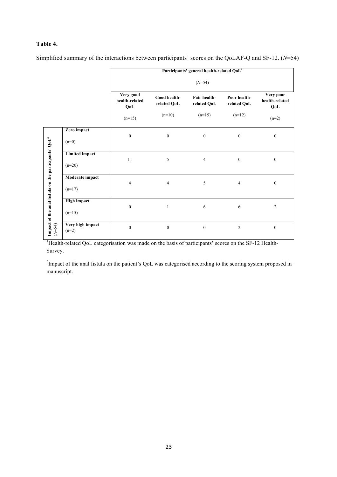# **Table 4.**

Simplified summary of the interactions between participants' scores on the QoLAF-Q and SF-12. (*N*=54)

|                                                         |                                   |                                    |                             | Participants' general health-related QoL <sup>1</sup> |                             |                                    |
|---------------------------------------------------------|-----------------------------------|------------------------------------|-----------------------------|-------------------------------------------------------|-----------------------------|------------------------------------|
|                                                         |                                   |                                    |                             | $(N=54)$                                              |                             |                                    |
|                                                         |                                   | Very good<br>health-related<br>QoL | Good health-<br>related QoL | Fair health-<br>related QoL                           | Poor health-<br>related QoL | Very poor<br>health-related<br>QoL |
|                                                         |                                   | $(n=15)$                           | $(n=10)$                    | $(n=15)$                                              | $(n=12)$                    | $(n=2)$                            |
|                                                         | Zero impact<br>$(n=0)$            | $\boldsymbol{0}$                   | $\boldsymbol{0}$            | $\boldsymbol{0}$                                      | $\bf{0}$                    | $\boldsymbol{0}$                   |
| Impact of the anal fistula on the participants' $QoL^2$ | <b>Limited impact</b><br>$(n=20)$ | $11\,$                             | 5                           | $\overline{4}$                                        | $\boldsymbol{0}$            | $\boldsymbol{0}$                   |
|                                                         | Moderate impact<br>$(n=17)$       | $\overline{4}$                     | $\overline{4}$              | 5                                                     | $\overline{4}$              | $\boldsymbol{0}$                   |
|                                                         | <b>High impact</b><br>$(n=15)$    | $\boldsymbol{0}$                   | $\mathbf{1}$                | 6                                                     | 6                           | $\overline{2}$                     |
| $(N=54)$                                                | Very high impact<br>$(n=2)$       | $\boldsymbol{0}$                   | $\boldsymbol{0}$            | $\boldsymbol{0}$                                      | $\overline{c}$              | $\boldsymbol{0}$                   |

<sup>1</sup>Health-related QoL categorisation was made on the basis of participants' scores on the SF-12 Health-Survey.

 $2$ Impact of the anal fistula on the patient's QoL was categorised according to the scoring system proposed in manuscript.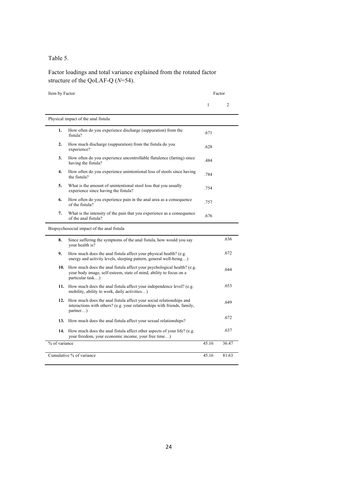Table 5.

Factor loadings and total variance explained from the rotated factor structure of the QoLAF-Q (*N*=54).

| Item by Factor | Factor                                                                                                                                                             |              |                |  |
|----------------|--------------------------------------------------------------------------------------------------------------------------------------------------------------------|--------------|----------------|--|
|                |                                                                                                                                                                    | $\mathbf{1}$ | $\overline{2}$ |  |
|                | Physical impact of the anal fistula                                                                                                                                |              |                |  |
| 1.             | How often do you experience discharge (suppuration) from the<br>fistula?                                                                                           | .671         |                |  |
| 2.             | How much discharge (suppuration) from the fistula do you<br>experience?                                                                                            | .628         |                |  |
| 3.             | How often do you experience uncontrollable flatulence (farting) since<br>having the fistula?                                                                       | 484          |                |  |
| 4.             | How often do you experience unintentional loss of stools since having<br>the fistula?                                                                              | .784         |                |  |
| 5.             | What is the amount of unintentional stool loss that you usually<br>experience since having the fistula?                                                            | .754         |                |  |
| 6.             | How often do you experience pain in the anal area as a consequence<br>of the fistula?                                                                              | .757         |                |  |
| 7.             | What is the intensity of the pain that you experience as a consequence<br>of the anal fistula?                                                                     | .676         |                |  |
|                | Biopsychosocial impact of the anal fistula                                                                                                                         |              |                |  |
| 8.             | Since suffering the symptoms of the anal fistula, how would you say<br>your health is?                                                                             |              | .636           |  |
| 9.             | How much does the anal fistula affect your physical health? (e.g.<br>energy and activity levels, sleeping pattern, general well-being)                             |              | .672           |  |
| 10.            | How much does the anal fistula affect your psychological health? (e.g.<br>your body image, self-esteem, state of mind, ability to focus on a<br>particular task)   |              | .644           |  |
|                | 11. How much does the anal fistula affect your independence level? (e.g.<br>mobility, ability to work, daily activities)                                           |              | .653           |  |
|                | 12. How much does the anal fistula affect your social relationships and<br>interactions with others? (e.g. your relationships with friends, family,<br>$partner$ ) |              | .649           |  |
| 13.            | How much does the anal fistula affect your sexual relationships?                                                                                                   |              | .672           |  |
|                | 14. How much does the anal fistula affect other aspects of your life? (e.g.<br>your freedom, your economic income, your free time)                                 |              | .637           |  |
| % of variance  |                                                                                                                                                                    | 45.16        | 36.47          |  |
|                | Cumulative % of variance                                                                                                                                           | 45.16        | 81.63          |  |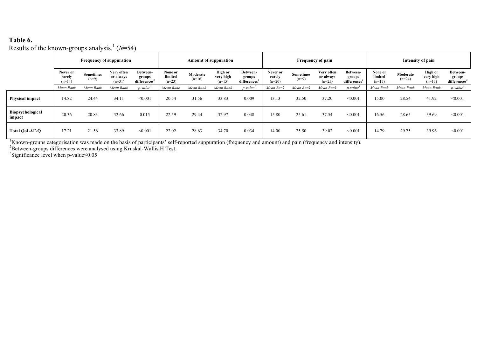# **Table 6.**

Results of the known-groups analysis. <sup>1</sup> (*N*=54)

|                            | <b>Frequency of suppuration</b> |                             | <b>Amount of suppuration</b>        |                                                |                                | Frequency of pain    |                                  |                                                | Intensity of pain              |                      |                                     |                                                |                                |                      |                                         |                                                |
|----------------------------|---------------------------------|-----------------------------|-------------------------------------|------------------------------------------------|--------------------------------|----------------------|----------------------------------|------------------------------------------------|--------------------------------|----------------------|-------------------------------------|------------------------------------------------|--------------------------------|----------------------|-----------------------------------------|------------------------------------------------|
|                            | Never or<br>rarely<br>$(n=14)$  | <b>Sometimes</b><br>$(n=9)$ | Very often<br>or always<br>$(n=31)$ | Between-<br>groups<br>differences <sup>2</sup> | None or<br>limited<br>$(n=23)$ | Moderate<br>$(n=16)$ | High or<br>very high<br>$(n=15)$ | Between-<br>groups<br>differences <sup>2</sup> | Never or<br>rarely<br>$(n=20)$ | Sometimes<br>$(n=9)$ | Very often<br>or always<br>$(n=25)$ | Between-<br>groups<br>differences <sup>2</sup> | None or<br>limited<br>$(n=17)$ | Moderate<br>$(n=24)$ | <b>High or</b><br>very high<br>$(n=13)$ | Between-<br>groups<br>differences <sup>2</sup> |
|                            | Mean Rank                       | Mean Rank                   | Mean Rank                           | $p$ -value <sup>3</sup>                        | Mean Rank                      | Mean Rank            | Mean Rank                        | $p$ -value <sup>3</sup>                        | Mean Rank                      | Mean Rank            | Mean Rank                           | $p$ -value <sup>3</sup>                        | Mean Rank                      | Mean Rank            | Mean Rank                               | $p$ -value <sup>3</sup>                        |
| <b>Physical impact</b>     | 14.82                           | 24.44                       | 34.11                               | < 0.001                                        | 20.54                          | 31.56                | 33.83                            | 0.009                                          | 13.13                          | 32.50                | 37.20                               | < 0.001                                        | 15.00                          | 28.54                | 41.92                                   | < 0.001                                        |
| Biopsychological<br>impact | 20.36                           | 20.83                       | 32.66                               | 0.015                                          | 22.59                          | 29.44                | 32.97                            | 0.048                                          | 15.80                          | 25.61                | 37.54                               | < 0.001                                        | 16.56                          | 28.65                | 39.69                                   | < 0.001                                        |
| <b>Total QoLAF-Q</b>       | 17.21                           | 21.56                       | 33.89                               | < 0.001                                        | 22.02                          | 28.63                | 34.70                            | 0.034                                          | 14.00                          | 25.50                | 39.02                               | < 0.001                                        | 14.79                          | 29.75                | 39.96                                   | < 0.001                                        |

<sup>1</sup>Known-groups categorisation was made on the basis of participants' self-reported suppuration (frequency and amount) and pain (frequency and intensity).

<sup>2</sup>Between-groups differences were analysed using Kruskal-Wallis H Test.<br><sup>3</sup>Significance level when p-value≤0.05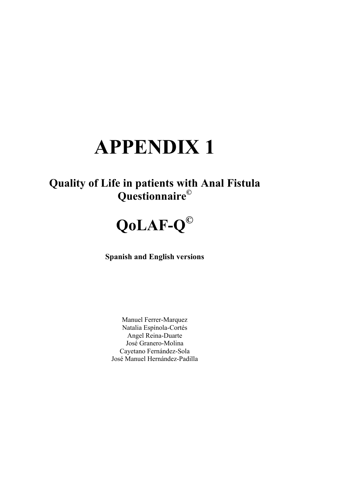# **APPENDIX 1**

# **Quality of Life in patients with Anal Fistula Questionnaire©**



**Spanish and English versions**

Manuel Ferrer-Marquez Natalia Espínola-Cortés Angel Reina-Duarte José Granero-Molina Cayetano Fernández-Sola José Manuel Hernández-Padilla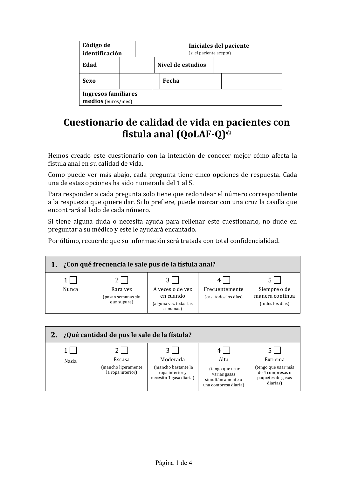| Código de<br>identificación                      |  | Iniciales del paciente<br>(si el paciente acepta) |                   |  |  |  |
|--------------------------------------------------|--|---------------------------------------------------|-------------------|--|--|--|
| Edad                                             |  |                                                   | Nivel de estudios |  |  |  |
| Sexo                                             |  |                                                   | Fecha             |  |  |  |
| <b>Ingresos familiares</b><br>medios (euros/mes) |  |                                                   |                   |  |  |  |

# **Cuestionario de calidad de vida en pacientes con fistula anal (QoLAF-Q)<sup>©</sup>**

Hemos creado este cuestionario con la intención de conocer mejor cómo afecta la fistula anal en su calidad de vida.

Como puede ver más abajo, cada pregunta tiene cinco opciones de respuesta. Cada una de estas opciones ha sido numerada del 1 al 5.

Para responder a cada pregunta solo tiene que redondear el número correspondiente a la respuesta que quiere dar. Si lo prefiere, puede marcar con una cruz la casilla que encontrará al lado de cada número.

Si tiene alguna duda o necesita ayuda para rellenar este cuestionario, no dude en preguntar a su médico y este le ayudará encantado.

Por último, recuerde que su información será tratada con total confidencialidad.



| 2. ¿Qué cantidad de pus le sale de la fístula? |                                                    |                                                                               |                                                                                      |                                                                                     |  |  |  |  |  |
|------------------------------------------------|----------------------------------------------------|-------------------------------------------------------------------------------|--------------------------------------------------------------------------------------|-------------------------------------------------------------------------------------|--|--|--|--|--|
| Nada                                           | Escasa<br>(mancho ligeramente<br>la ropa interior) | Moderada<br>(mancho bastante la<br>ropa interior y<br>necesito 1 gasa diaria) | Alta<br>(tengo que usar<br>varias gasas<br>simultáneamente o<br>una compresa diaria) | Extrema<br>(tengo que usar más<br>de 4 compresas o<br>paquetes de gasas<br>diarias) |  |  |  |  |  |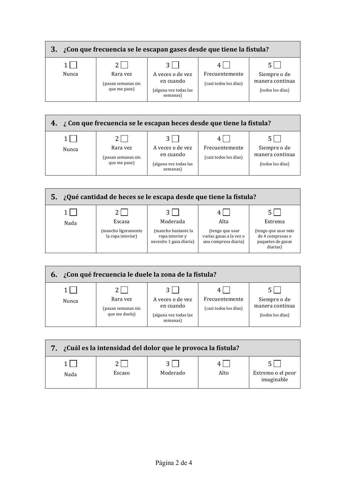

| 4. ¿Con que frecuencia se le escapan heces desde que tiene la fístula? |                                                |                                                                    |                                         |                                                     |  |  |
|------------------------------------------------------------------------|------------------------------------------------|--------------------------------------------------------------------|-----------------------------------------|-----------------------------------------------------|--|--|
|                                                                        |                                                | ا 3                                                                |                                         |                                                     |  |  |
| Nunca                                                                  | Rara vez<br>(pasan semanas sin<br>que me pase) | A veces o de vez<br>en cuando<br>(alguna vez todas las<br>semanas) | Frecuentemente<br>(casi todos los días) | Siempre o de<br>manera continua<br>(todos los días) |  |  |



| ¿Con qué frecuencia le duele la zona de la fístula?<br>6. |                                                 |                                                                    |                                         |                                                     |  |  |  |
|-----------------------------------------------------------|-------------------------------------------------|--------------------------------------------------------------------|-----------------------------------------|-----------------------------------------------------|--|--|--|
| Nunca                                                     | Rara vez<br>(pasan semanas sin<br>que me duela) | A veces o de vez<br>en cuando<br>(alguna vez todas las<br>semanas) | Frecuentemente<br>(casi todos los días) | Siempre o de<br>manera continua<br>(todos los días) |  |  |  |

| ¿Cuál es la intensidad del dolor que le provoca la fístula? |        |          |      |                                 |  |
|-------------------------------------------------------------|--------|----------|------|---------------------------------|--|
| Nada                                                        | Escaso | Moderado | Alto | Extremo o el peor<br>imaginable |  |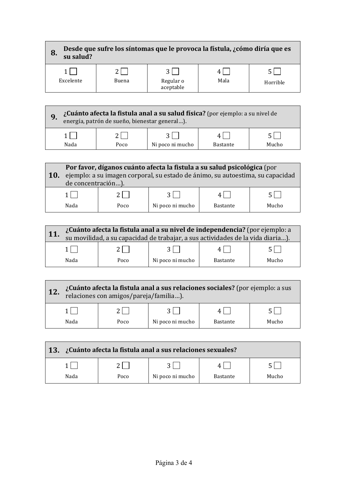| Desde que sufre los síntomas que le provoca la fístula, ¿cómo diría que es<br>8.<br>su salud? |       |                        |      |          |  |
|-----------------------------------------------------------------------------------------------|-------|------------------------|------|----------|--|
|                                                                                               |       |                        |      |          |  |
| Excelente                                                                                     | Buena | Regular o<br>aceptable | Mala | Horrible |  |
|                                                                                               |       |                        |      |          |  |

# **9.** *¿Cuánto afecta la fistula anal a su salud física?* **(por ejemplo: a su nivel de energía, patrón de sueño, bienestar general...).**  $1 \cup$   $2 \cup$   $3 \cup$   $4 \cup$   $5$ Nada | Poco | Ni poco ni mucho | Bastante | Mucho

|            | Por favor, díganos cuánto afecta la fistula a su salud psicológica (por        |      |                  |                 |       |  |  |
|------------|--------------------------------------------------------------------------------|------|------------------|-----------------|-------|--|--|
| <b>10.</b> | ejemplo: a su imagen corporal, su estado de ánimo, su autoestima, su capacidad |      |                  |                 |       |  |  |
|            | de concentración).                                                             |      |                  |                 |       |  |  |
|            |                                                                                |      |                  |                 |       |  |  |
|            | Nada                                                                           | Poco | Ni poco ni mucho | <b>Bastante</b> | Mucho |  |  |

| ¿Cuánto afecta la fistula anal a su nivel de independencia? (por ejemplo: a<br>su movilidad, a su capacidad de trabajar, a sus actividades de la vida diaria). |  |                  |                 |       |  |  |
|----------------------------------------------------------------------------------------------------------------------------------------------------------------|--|------------------|-----------------|-------|--|--|
|                                                                                                                                                                |  |                  |                 |       |  |  |
| Nada<br>Poco                                                                                                                                                   |  | Ni poco ni mucho | <b>Bastante</b> | Mucho |  |  |

| <b>12.</b> | $i$ Cuánto afecta la fistula anal a sus relaciones sociales? (por ejemplo: a sus relaciones con amigos/pareja/familia). |      |                  |                 |       |  |  |
|------------|-------------------------------------------------------------------------------------------------------------------------|------|------------------|-----------------|-------|--|--|
|            |                                                                                                                         |      |                  |                 |       |  |  |
|            | Nada                                                                                                                    | Poco | Ni poco ni mucho | <b>Bastante</b> | Mucho |  |  |

| 13. L'anto afecta la fistula anal a sus relaciones sexuales? |      |                  |          |       |  |  |
|--------------------------------------------------------------|------|------------------|----------|-------|--|--|
|                                                              |      |                  |          |       |  |  |
| Nada                                                         | Poco | Ni poco ni mucho | Bastante | Mucho |  |  |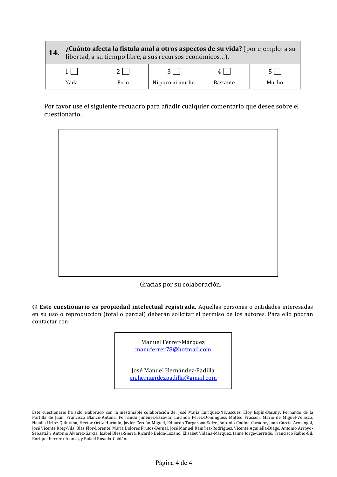| 14.  | ¿Cuánto afecta la fistula anal a otros aspectos de su vida? (por ejemplo: a su libertad, a su tiempo libre, a sus recursos económicos). |                  |                 |       |  |  |  |
|------|-----------------------------------------------------------------------------------------------------------------------------------------|------------------|-----------------|-------|--|--|--|
|      |                                                                                                                                         |                  |                 |       |  |  |  |
| Nada | Poco                                                                                                                                    | Ni poco ni mucho | <b>Bastante</b> | Mucho |  |  |  |

Por favor use el siguiente recuadro para añadir cualquier comentario que desee sobre el cuestionario.



Gracias por su colaboración.

**© Este cuestionario es propiedad intelectual registrada.** Aquellas personas o entidades interesadas en su uso o reproducción (total o parcial) deberán solicitar el permiso de los autores. Para ello podrán contactar con:

> Manuel Ferrer-Márquez manuferrer78@hotmail.com

José Manuel Hernández-Padilla jm.hernandezpadilla@gmail.com

Este cuestionario ha sido elaborado con la inestimable colaboración de: José María Enríquez-Navascués, Eloy Espín-Basany, Fernando de la Portilla de Juan, Francisco Blanco-Antona, Fernando Jiménez-Escovar, Lucinda Pérez-Domínguez, Matteo Frasson, Mario de Miguel-Velasco, Natalia Uribe-Quintana, Héctor Ortiz-Hurtado, Javier Cerdán-Miguel, Eduardo Targarona-Soler, Antonio Codina-Cazador, Juan García-Armengol, José Vicente Roig-Vila, Blas Flor-Lorente, María Dolores Frutos-Bernal, José Manuel Ramírez-Rodríguez, Vicente Aguilella-Diago, Antonio Arroyo-Sebastián, Antonio Álvarez-García, Isabel Blesa-Sierra, Ricardo Belda-Lozano, Elisabet Vidaña-Márquez, Jaime Jorge-Cerrudo, Francisco Rubio-Gil, Enrique Herrera-Alonso, y Rafael Rosado-Cobián.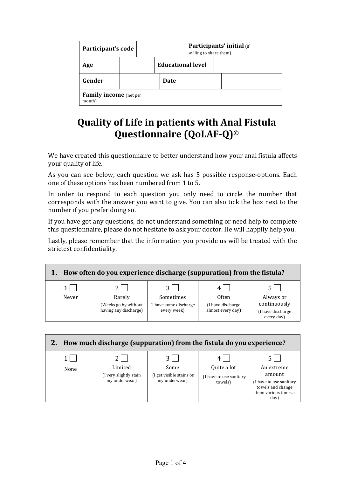| Participant's code                      |  | Participants' initial (if<br>willing to share them) |  |  |  |
|-----------------------------------------|--|-----------------------------------------------------|--|--|--|
| Age                                     |  | <b>Educational level</b>                            |  |  |  |
| Gender                                  |  | Date                                                |  |  |  |
| <b>Family income</b> (net per<br>month) |  |                                                     |  |  |  |

# **Quality of Life in patients with Anal Fistula Questionnaire (QoLAF-Q)©**

We have created this questionnaire to better understand how your anal fistula affects your quality of life.

As you can see below, each question we ask has 5 possible response-options. Each one of these options has been numbered from 1 to 5.

In order to respond to each question you only need to circle the number that corresponds with the answer you want to give. You can also tick the box next to the number if you prefer doing so.

If you have got any questions, do not understand something or need help to complete this questionnaire, please do not hesitate to ask your doctor. He will happily help you.

Lastly, please remember that the information you provide us will be treated with the strictest confidentiality.

| How often do you experience discharge (suppuration) from the fistula? |                                               |                                        |                                         |                                                  |  |  |
|-----------------------------------------------------------------------|-----------------------------------------------|----------------------------------------|-----------------------------------------|--------------------------------------------------|--|--|
| Never                                                                 | Rarely                                        | Sometimes                              | Often                                   | Always or                                        |  |  |
|                                                                       | (Weeks go by without<br>having any discharge) | (I have some discharge)<br>every week) | (I have discharge)<br>almost every day) | continuously<br>(I have discharge)<br>every day) |  |  |

| How much discharge (suppuration) from the fistula do you experience? |                                                     |                                                   |                                                   |                                                                                                      |  |  |
|----------------------------------------------------------------------|-----------------------------------------------------|---------------------------------------------------|---------------------------------------------------|------------------------------------------------------------------------------------------------------|--|--|
| None                                                                 | Limited<br>(I very slightly stain)<br>my underwear) | Some<br>(I get visible stains on<br>my underwear) | Quite a lot<br>(I have to use sanitary<br>towels) | An extreme<br>amount<br>(I have to use sanitary<br>towels and change<br>them various times a<br>day) |  |  |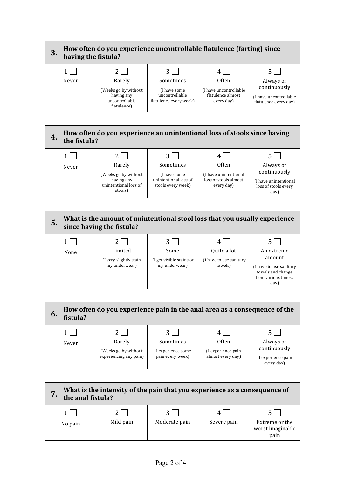







| What is the intensity of the pain that you experience as a consequence of<br>the anal fistula? |           |               |             |                                            |  |
|------------------------------------------------------------------------------------------------|-----------|---------------|-------------|--------------------------------------------|--|
| No pain                                                                                        | Mild pain | Moderate pain | Severe pain | Extreme or the<br>worst imaginable<br>pain |  |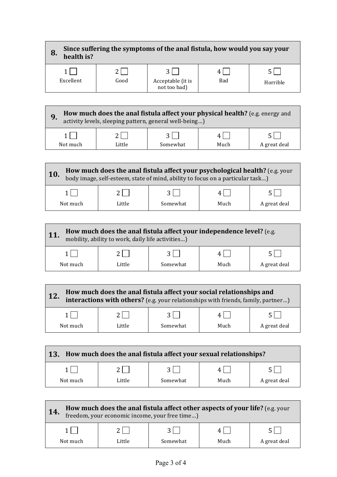| Since suffering the symptoms of the anal fistula, how would you say your<br>8.<br>health is? |      |                                   |     |          |
|----------------------------------------------------------------------------------------------|------|-----------------------------------|-----|----------|
|                                                                                              |      |                                   |     |          |
| Excellent                                                                                    | Good | Acceptable (it is<br>not too bad) | Bad | Horrible |
|                                                                                              |      |                                   |     |          |

| How much does the anal fistula affect your physical health? (e.g. energy and<br>activity levels, sleeping pattern, general well-being) |        |          |      |              |
|----------------------------------------------------------------------------------------------------------------------------------------|--------|----------|------|--------------|
|                                                                                                                                        |        |          |      |              |
| Not much                                                                                                                               | Little | Somewhat | Much | A great deal |

| How much does the anal fistula affect your psychological health? (e.g. your body image, self-esteem, state of mind, ability to focus on a particular task)<br>10. |        |          |      |              |
|-------------------------------------------------------------------------------------------------------------------------------------------------------------------|--------|----------|------|--------------|
|                                                                                                                                                                   |        |          |      |              |
| Not much                                                                                                                                                          | Little | Somewhat | Much | A great deal |

| How much does the anal fistula affect your independence level? (e.g.<br>11<br>mobility, ability to work, daily life activities) |        |          |      |              |
|---------------------------------------------------------------------------------------------------------------------------------|--------|----------|------|--------------|
|                                                                                                                                 |        |          |      |              |
| Not much                                                                                                                        | Little | Somewhat | Much | A great deal |

| How much does the anal fistula affect your social relationships and<br>interactions with others? (e.g. your relationships with friends, family, partner) |        |          |      |              |
|----------------------------------------------------------------------------------------------------------------------------------------------------------|--------|----------|------|--------------|
|                                                                                                                                                          |        |          |      |              |
| Not much                                                                                                                                                 | Little | Somewhat | Much | A great deal |

| How much does the anal fistula affect your sexual relationships?<br>$\overline{13}$ . |        |          |      |              |  |
|---------------------------------------------------------------------------------------|--------|----------|------|--------------|--|
|                                                                                       |        |          |      |              |  |
| Not much                                                                              | Little | Somewhat | Much | A great deal |  |

| How much does the anal fistula affect other aspects of your life? (e.g. your freedom, your economic income, your free time)<br>14. |        |          |      |              |
|------------------------------------------------------------------------------------------------------------------------------------|--------|----------|------|--------------|
|                                                                                                                                    |        |          |      |              |
| Not much                                                                                                                           | Little | Somewhat | Much | A great deal |